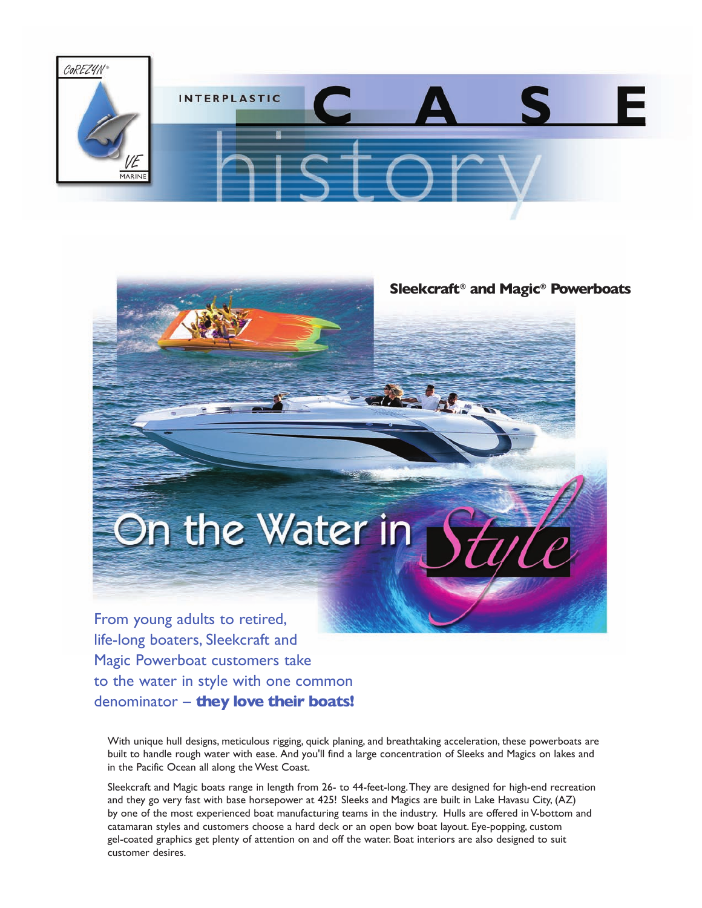

## **Sleekcraft® and Magic® Powerboats**

From young adults to retired, life-long boaters, Sleekcraft and Magic Powerboat customers take to the water in style with one common denominator – **they love their boats!**

On the Water in

With unique hull designs, meticulous rigging, quick planing, and breathtaking acceleration, these powerboats are built to handle rough water with ease. And you'll find a large concentration of Sleeks and Magics on lakes and in the Pacific Ocean all along the West Coast.

Sleekcraft and Magic boats range in length from 26- to 44-feet-long.They are designed for high-end recreation and they go very fast with base horsepower at 425! Sleeks and Magics are built in Lake Havasu City, (AZ) by one of the most experienced boat manufacturing teams in the industry. Hulls are offered in V-bottom and catamaran styles and customers choose a hard deck or an open bow boat layout. Eye-popping, custom gel-coated graphics get plenty of attention on and off the water. Boat interiors are also designed to suit customer desires.